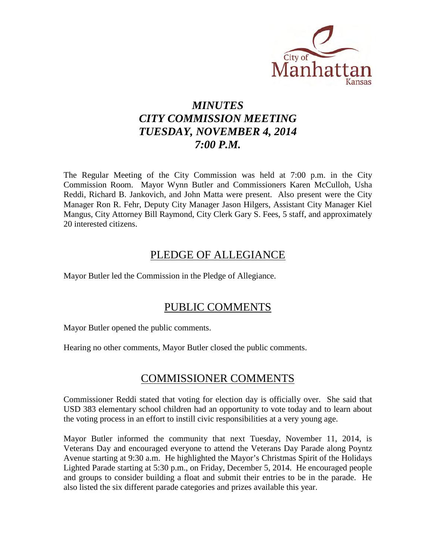

# *MINUTES CITY COMMISSION MEETING TUESDAY, NOVEMBER 4, 2014 7:00 P.M.*

The Regular Meeting of the City Commission was held at 7:00 p.m. in the City Commission Room. Mayor Wynn Butler and Commissioners Karen McCulloh, Usha Reddi, Richard B. Jankovich, and John Matta were present. Also present were the City Manager Ron R. Fehr, Deputy City Manager Jason Hilgers, Assistant City Manager Kiel Mangus, City Attorney Bill Raymond, City Clerk Gary S. Fees, 5 staff, and approximately 20 interested citizens.

# PLEDGE OF ALLEGIANCE

Mayor Butler led the Commission in the Pledge of Allegiance.

# PUBLIC COMMENTS

Mayor Butler opened the public comments.

Hearing no other comments, Mayor Butler closed the public comments.

# COMMISSIONER COMMENTS

Commissioner Reddi stated that voting for election day is officially over. She said that USD 383 elementary school children had an opportunity to vote today and to learn about the voting process in an effort to instill civic responsibilities at a very young age.

Mayor Butler informed the community that next Tuesday, November 11, 2014, is Veterans Day and encouraged everyone to attend the Veterans Day Parade along Poyntz Avenue starting at 9:30 a.m. He highlighted the Mayor's Christmas Spirit of the Holidays Lighted Parade starting at 5:30 p.m., on Friday, December 5, 2014. He encouraged people and groups to consider building a float and submit their entries to be in the parade. He also listed the six different parade categories and prizes available this year.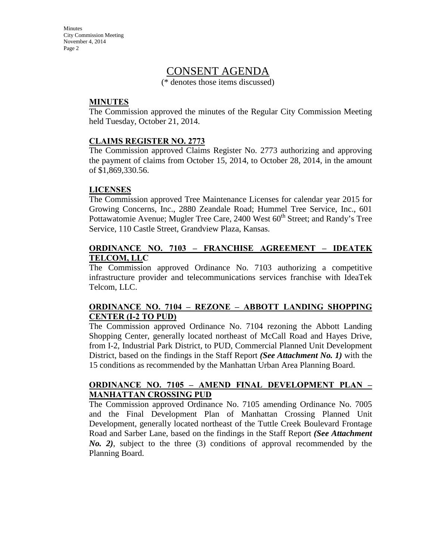**Minutes** City Commission Meeting November 4, 2014 Page 2

## CONSENT AGENDA

(\* denotes those items discussed)

#### **MINUTES**

The Commission approved the minutes of the Regular City Commission Meeting held Tuesday, October 21, 2014.

#### **CLAIMS REGISTER NO. 2773**

The Commission approved Claims Register No. 2773 authorizing and approving the payment of claims from October 15, 2014, to October 28, 2014, in the amount of \$1,869,330.56.

#### **LICENSES**

The Commission approved Tree Maintenance Licenses for calendar year 2015 for Growing Concerns, Inc., 2880 Zeandale Road; Hummel Tree Service, Inc., 601 Pottawatomie Avenue; Mugler Tree Care, 2400 West  $60<sup>th</sup>$  Street; and Randy's Tree Service, 110 Castle Street, Grandview Plaza, Kansas.

#### **ORDINANCE NO. 7103 – FRANCHISE AGREEMENT – IDEATEK TELCOM, LLC**

The Commission approved Ordinance No. 7103 authorizing a competitive infrastructure provider and telecommunications services franchise with IdeaTek Telcom, LLC.

#### **ORDINANCE NO. 7104 – REZONE – ABBOTT LANDING SHOPPING CENTER (I-2 TO PUD)**

The Commission approved Ordinance No. 7104 rezoning the Abbott Landing Shopping Center, generally located northeast of McCall Road and Hayes Drive, from I-2, Industrial Park District, to PUD, Commercial Planned Unit Development District, based on the findings in the Staff Report *(See Attachment No. 1)* with the 15 conditions as recommended by the Manhattan Urban Area Planning Board.

#### **ORDINANCE NO. 7105 – AMEND FINAL DEVELOPMENT PLAN – MANHATTAN CROSSING PUD**

The Commission approved Ordinance No. 7105 amending Ordinance No. 7005 and the Final Development Plan of Manhattan Crossing Planned Unit Development, generally located northeast of the Tuttle Creek Boulevard Frontage Road and Sarber Lane, based on the findings in the Staff Report *(See Attachment No. 2)*, subject to the three (3) conditions of approval recommended by the Planning Board.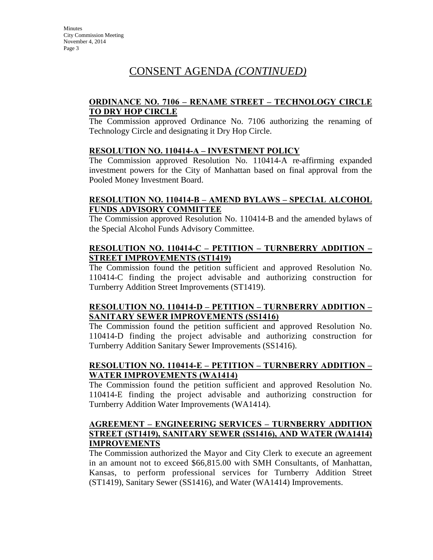# CONSENT AGENDA *(CONTINUED)*

### **ORDINANCE NO. 7106 – RENAME STREET – TECHNOLOGY CIRCLE TO DRY HOP CIRCLE**

The Commission approved Ordinance No. 7106 authorizing the renaming of Technology Circle and designating it Dry Hop Circle.

#### **RESOLUTION NO. 110414-A – INVESTMENT POLICY**

The Commission approved Resolution No. 110414-A re-affirming expanded investment powers for the City of Manhattan based on final approval from the Pooled Money Investment Board.

### **RESOLUTION NO. 110414-B – AMEND BYLAWS – SPECIAL ALCOHOL FUNDS ADVISORY COMMITTEE**

The Commission approved Resolution No. 110414-B and the amended bylaws of the Special Alcohol Funds Advisory Committee.

#### **RESOLUTION NO. 110414-C – PETITION – TURNBERRY ADDITION – STREET IMPROVEMENTS (ST1419)**

The Commission found the petition sufficient and approved Resolution No. 110414-C finding the project advisable and authorizing construction for Turnberry Addition Street Improvements (ST1419).

### **RESOLUTION NO. 110414-D – PETITION – TURNBERRY ADDITION – SANITARY SEWER IMPROVEMENTS (SS1416)**

The Commission found the petition sufficient and approved Resolution No. 110414-D finding the project advisable and authorizing construction for Turnberry Addition Sanitary Sewer Improvements (SS1416).

## **RESOLUTION NO. 110414-E – PETITION – TURNBERRY ADDITION – WATER IMPROVEMENTS (WA1414)**

The Commission found the petition sufficient and approved Resolution No. 110414-E finding the project advisable and authorizing construction for Turnberry Addition Water Improvements (WA1414).

#### **AGREEMENT – ENGINEERING SERVICES – TURNBERRY ADDITION STREET (ST1419), SANITARY SEWER (SS1416), AND WATER (WA1414) IMPROVEMENTS**

The Commission authorized the Mayor and City Clerk to execute an agreement in an amount not to exceed \$66,815.00 with SMH Consultants, of Manhattan, Kansas, to perform professional services for Turnberry Addition Street (ST1419), Sanitary Sewer (SS1416), and Water (WA1414) Improvements.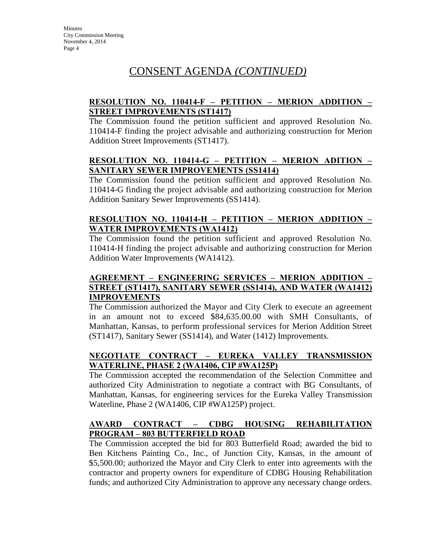# CONSENT AGENDA *(CONTINUED)*

## **RESOLUTION NO. 110414-F – PETITION – MERION ADDITION – STREET IMPROVEMENTS (ST1417)**

The Commission found the petition sufficient and approved Resolution No. 110414-F finding the project advisable and authorizing construction for Merion Addition Street Improvements (ST1417).

### **RESOLUTION NO. 110414-G – PETITION – MERION ADITION – SANITARY SEWER IMPROVEMENTS (SS1414)**

The Commission found the petition sufficient and approved Resolution No. 110414-G finding the project advisable and authorizing construction for Merion Addition Sanitary Sewer Improvements (SS1414).

## **RESOLUTION NO. 110414-H – PETITION – MERION ADDITION – WATER IMPROVEMENTS (WA1412)**

The Commission found the petition sufficient and approved Resolution No. 110414-H finding the project advisable and authorizing construction for Merion Addition Water Improvements (WA1412).

### **AGREEMENT – ENGINEERING SERVICES – MERION ADDITION – STREET (ST1417), SANITARY SEWER (SS1414), AND WATER (WA1412) IMPROVEMENTS**

The Commission authorized the Mayor and City Clerk to execute an agreement in an amount not to exceed \$84,635.00.00 with SMH Consultants, of Manhattan, Kansas, to perform professional services for Merion Addition Street (ST1417), Sanitary Sewer (SS1414), and Water (1412) Improvements.

## **NEGOTIATE CONTRACT – EUREKA VALLEY TRANSMISSION WATERLINE, PHASE 2 (WA1406, CIP #WA125P)**

The Commission accepted the recommendation of the Selection Committee and authorized City Administration to negotiate a contract with BG Consultants, of Manhattan, Kansas, for engineering services for the Eureka Valley Transmission Waterline, Phase 2 (WA1406, CIP #WA125P) project.

## **AWARD CONTRACT – CDBG HOUSING REHABILITATION PROGRAM – 803 BUTTERFIELD ROAD**

The Commission accepted the bid for 803 Butterfield Road; awarded the bid to Ben Kitchens Painting Co., Inc., of Junction City, Kansas, in the amount of \$5,500.00; authorized the Mayor and City Clerk to enter into agreements with the contractor and property owners for expenditure of CDBG Housing Rehabilitation funds; and authorized City Administration to approve any necessary change orders.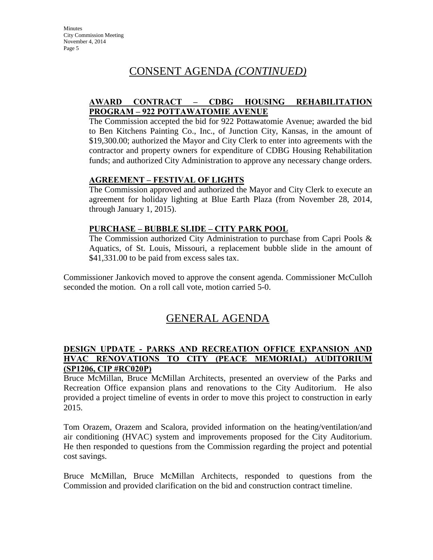# CONSENT AGENDA *(CONTINUED)*

## **AWARD CONTRACT – CDBG HOUSING REHABILITATION PROGRAM – 922 POTTAWATOMIE AVENUE**

The Commission accepted the bid for 922 Pottawatomie Avenue; awarded the bid to Ben Kitchens Painting Co., Inc., of Junction City, Kansas, in the amount of \$19,300.00; authorized the Mayor and City Clerk to enter into agreements with the contractor and property owners for expenditure of CDBG Housing Rehabilitation funds; and authorized City Administration to approve any necessary change orders.

### **AGREEMENT – FESTIVAL OF LIGHTS**

The Commission approved and authorized the Mayor and City Clerk to execute an agreement for holiday lighting at Blue Earth Plaza (from November 28, 2014, through January 1, 2015).

## **PURCHASE – BUBBLE SLIDE – CITY PARK POOL**

The Commission authorized City Administration to purchase from Capri Pools & Aquatics, of St. Louis, Missouri, a replacement bubble slide in the amount of \$41,331.00 to be paid from excess sales tax.

Commissioner Jankovich moved to approve the consent agenda. Commissioner McCulloh seconded the motion. On a roll call vote, motion carried 5-0.

# GENERAL AGENDA

#### **DESIGN UPDATE - PARKS AND RECREATION OFFICE EXPANSION AND HVAC RENOVATIONS TO CITY (PEACE MEMORIAL) AUDITORIUM (SP1206, CIP #RC020P)**

Bruce McMillan, Bruce McMillan Architects, presented an overview of the Parks and Recreation Office expansion plans and renovations to the City Auditorium. He also provided a project timeline of events in order to move this project to construction in early 2015.

Tom Orazem, Orazem and Scalora, provided information on the heating/ventilation/and air conditioning (HVAC) system and improvements proposed for the City Auditorium. He then responded to questions from the Commission regarding the project and potential cost savings.

Bruce McMillan, Bruce McMillan Architects, responded to questions from the Commission and provided clarification on the bid and construction contract timeline.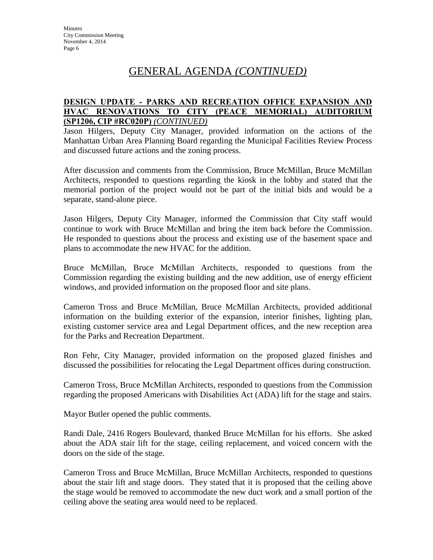# GENERAL AGENDA *(CONTINUED)*

#### **DESIGN UPDATE - PARKS AND RECREATION OFFICE EXPANSION AND HVAC RENOVATIONS TO CITY (PEACE MEMORIAL) AUDITORIUM (SP1206, CIP #RC020P)** *(CONTINUED)*

Jason Hilgers, Deputy City Manager, provided information on the actions of the Manhattan Urban Area Planning Board regarding the Municipal Facilities Review Process and discussed future actions and the zoning process.

After discussion and comments from the Commission, Bruce McMillan, Bruce McMillan Architects, responded to questions regarding the kiosk in the lobby and stated that the memorial portion of the project would not be part of the initial bids and would be a separate, stand-alone piece.

Jason Hilgers, Deputy City Manager, informed the Commission that City staff would continue to work with Bruce McMillan and bring the item back before the Commission. He responded to questions about the process and existing use of the basement space and plans to accommodate the new HVAC for the addition.

Bruce McMillan, Bruce McMillan Architects, responded to questions from the Commission regarding the existing building and the new addition, use of energy efficient windows, and provided information on the proposed floor and site plans.

Cameron Tross and Bruce McMillan, Bruce McMillan Architects, provided additional information on the building exterior of the expansion, interior finishes, lighting plan, existing customer service area and Legal Department offices, and the new reception area for the Parks and Recreation Department.

Ron Fehr, City Manager, provided information on the proposed glazed finishes and discussed the possibilities for relocating the Legal Department offices during construction.

Cameron Tross, Bruce McMillan Architects, responded to questions from the Commission regarding the proposed Americans with Disabilities Act (ADA) lift for the stage and stairs.

Mayor Butler opened the public comments.

Randi Dale, 2416 Rogers Boulevard, thanked Bruce McMillan for his efforts. She asked about the ADA stair lift for the stage, ceiling replacement, and voiced concern with the doors on the side of the stage.

Cameron Tross and Bruce McMillan, Bruce McMillan Architects, responded to questions about the stair lift and stage doors. They stated that it is proposed that the ceiling above the stage would be removed to accommodate the new duct work and a small portion of the ceiling above the seating area would need to be replaced.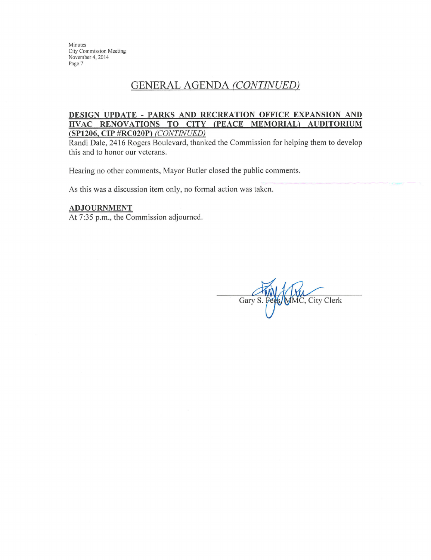Minutes City Commission Meeting November 4, 2014 Page 7

## **GENERAL AGENDA (CONTINUED)**

#### DESIGN UPDATE - PARKS AND RECREATION OFFICE EXPANSION AND HVAC RENOVATIONS TO CITY (PEACE MEMORIAL) AUDITORIUM (SP1206, CIP #RC020P) (CONTINUED)

Randi Dale, 2416 Rogers Boulevard, thanked the Commission for helping them to develop this and to honor our veterans.

Hearing no other comments, Mayor Butler closed the public comments.

As this was a discussion item only, no formal action was taken.

#### **ADJOURNMENT**

At 7:35 p.m., the Commission adjourned.

Gary S. Fe MC, City Clerk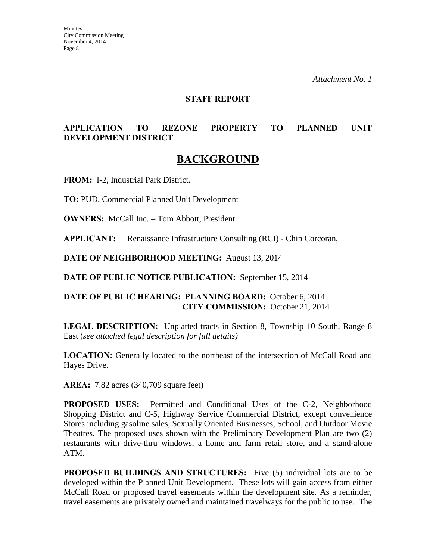#### **STAFF REPORT**

## **APPLICATION TO REZONE PROPERTY TO PLANNED UNIT DEVELOPMENT DISTRICT**

# **BACKGROUND**

**FROM:** I-2, Industrial Park District.

**TO:** PUD, Commercial Planned Unit Development

**OWNERS:** McCall Inc. – Tom Abbott, President

**APPLICANT:** Renaissance Infrastructure Consulting (RCI) - Chip Corcoran,

**DATE OF NEIGHBORHOOD MEETING:** August 13, 2014

**DATE OF PUBLIC NOTICE PUBLICATION:** September 15, 2014

### **DATE OF PUBLIC HEARING: PLANNING BOARD:** October 6, 2014 **CITY COMMISSION:** October 21, 2014

**LEGAL DESCRIPTION:** Unplatted tracts in Section 8, Township 10 South, Range 8 East (*see attached legal description for full details)* 

**LOCATION:** Generally located to the northeast of the intersection of McCall Road and Hayes Drive.

**AREA:** 7.82 acres (340,709 square feet)

**PROPOSED USES:** Permitted and Conditional Uses of the C-2, Neighborhood Shopping District and C-5, Highway Service Commercial District, except convenience Stores including gasoline sales, Sexually Oriented Businesses, School, and Outdoor Movie Theatres. The proposed uses shown with the Preliminary Development Plan are two (2) restaurants with drive-thru windows, a home and farm retail store, and a stand-alone ATM.

**PROPOSED BUILDINGS AND STRUCTURES:** Five (5) individual lots are to be developed within the Planned Unit Development. These lots will gain access from either McCall Road or proposed travel easements within the development site. As a reminder, travel easements are privately owned and maintained travelways for the public to use. The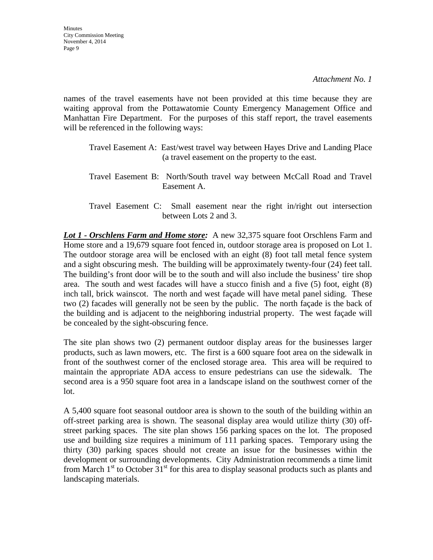names of the travel easements have not been provided at this time because they are waiting approval from the Pottawatomie County Emergency Management Office and Manhattan Fire Department. For the purposes of this staff report, the travel easements will be referenced in the following ways:

- Travel Easement A: East/west travel way between Hayes Drive and Landing Place (a travel easement on the property to the east.
- Travel Easement B: North/South travel way between McCall Road and Travel Easement A.
- Travel Easement C: Small easement near the right in/right out intersection between Lots 2 and 3.

*Lot 1 - Orschlens Farm and Home store:* A new 32,375 square foot Orschlens Farm and Home store and a 19,679 square foot fenced in, outdoor storage area is proposed on Lot 1. The outdoor storage area will be enclosed with an eight (8) foot tall metal fence system and a sight obscuring mesh. The building will be approximately twenty-four (24) feet tall. The building's front door will be to the south and will also include the business' tire shop area. The south and west facades will have a stucco finish and a five (5) foot, eight (8) inch tall, brick wainscot. The north and west façade will have metal panel siding. These two (2) facades will generally not be seen by the public. The north façade is the back of the building and is adjacent to the neighboring industrial property. The west façade will be concealed by the sight-obscuring fence.

The site plan shows two (2) permanent outdoor display areas for the businesses larger products, such as lawn mowers, etc. The first is a 600 square foot area on the sidewalk in front of the southwest corner of the enclosed storage area. This area will be required to maintain the appropriate ADA access to ensure pedestrians can use the sidewalk. The second area is a 950 square foot area in a landscape island on the southwest corner of the lot.

A 5,400 square foot seasonal outdoor area is shown to the south of the building within an off-street parking area is shown. The seasonal display area would utilize thirty (30) offstreet parking spaces. The site plan shows 156 parking spaces on the lot. The proposed use and building size requires a minimum of 111 parking spaces. Temporary using the thirty (30) parking spaces should not create an issue for the businesses within the development or surrounding developments. City Administration recommends a time limit from March  $1<sup>st</sup>$  to October 31<sup>st</sup> for this area to display seasonal products such as plants and landscaping materials.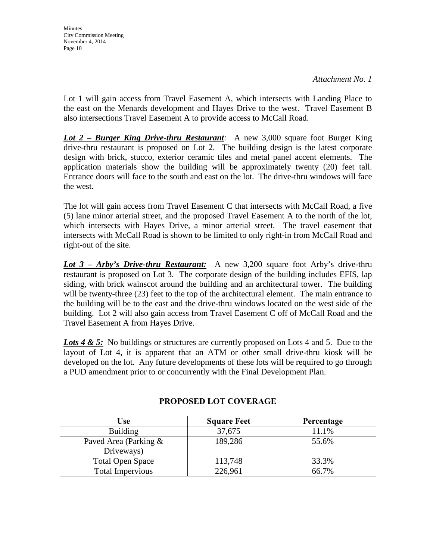Lot 1 will gain access from Travel Easement A, which intersects with Landing Place to the east on the Menards development and Hayes Drive to the west. Travel Easement B also intersections Travel Easement A to provide access to McCall Road.

*Lot 2 – Burger King Drive-thru Restaurant:* A new 3,000 square foot Burger King drive-thru restaurant is proposed on Lot 2. The building design is the latest corporate design with brick, stucco, exterior ceramic tiles and metal panel accent elements. The application materials show the building will be approximately twenty (20) feet tall. Entrance doors will face to the south and east on the lot. The drive-thru windows will face the west.

The lot will gain access from Travel Easement C that intersects with McCall Road, a five (5) lane minor arterial street, and the proposed Travel Easement A to the north of the lot, which intersects with Hayes Drive, a minor arterial street. The travel easement that intersects with McCall Road is shown to be limited to only right-in from McCall Road and right-out of the site.

*Lot 3 – Arby's Drive-thru Restaurant:* A new 3,200 square foot Arby's drive-thru restaurant is proposed on Lot 3. The corporate design of the building includes EFIS, lap siding, with brick wainscot around the building and an architectural tower. The building will be twenty-three (23) feet to the top of the architectural element. The main entrance to the building will be to the east and the drive-thru windows located on the west side of the building. Lot 2 will also gain access from Travel Easement C off of McCall Road and the Travel Easement A from Hayes Drive.

Lots 4 & 5: No buildings or structures are currently proposed on Lots 4 and 5. Due to the layout of Lot 4, it is apparent that an ATM or other small drive-thru kiosk will be developed on the lot. Any future developments of these lots will be required to go through a PUD amendment prior to or concurrently with the Final Development Plan.

| <b>Use</b>              | <b>Square Feet</b> | Percentage |
|-------------------------|--------------------|------------|
| <b>Building</b>         | 37,675             | 11.1%      |
| Paved Area (Parking &   | 189,286            | 55.6%      |
| Driveways)              |                    |            |
| <b>Total Open Space</b> | 113,748            | 33.3%      |
| Total Impervious        | 226,961            | 66.7%      |

### **PROPOSED LOT COVERAGE**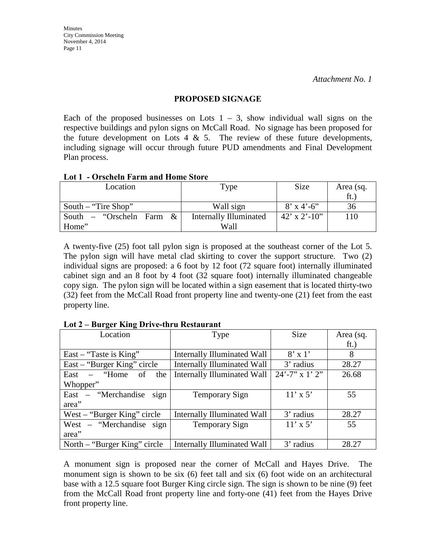#### **PROPOSED SIGNAGE**

Each of the proposed businesses on Lots  $1 - 3$ , show individual wall signs on the respective buildings and pylon signs on McCall Road. No signage has been proposed for the future development on Lots 4  $\&$  5. The review of these future developments, including signage will occur through future PUD amendments and Final Development Plan process.

#### **Lot 1 - Orscheln Farm and Home Store**

| Location                    | Type                          | <b>Size</b>  | Area (sq. |
|-----------------------------|-------------------------------|--------------|-----------|
|                             |                               |              | ft.       |
| South – "Tire Shop"         | Wall sign                     | $8'$ x 4'-6" | 36        |
| South – "Orscheln Farm $\&$ | <b>Internally Illuminated</b> | 42' x 2'-10" | 110       |
| Home"                       | Wall                          |              |           |

A twenty-five (25) foot tall pylon sign is proposed at the southeast corner of the Lot 5. The pylon sign will have metal clad skirting to cover the support structure. Two (2) individual signs are proposed: a 6 foot by 12 foot (72 square foot) internally illuminated cabinet sign and an 8 foot by 4 foot (32 square foot) internally illuminated changeable copy sign. The pylon sign will be located within a sign easement that is located thirty-two (32) feet from the McCall Road front property line and twenty-one (21) feet from the east property line.

| Location                      | Type                               | Size                | Area (sq. |
|-------------------------------|------------------------------------|---------------------|-----------|
|                               |                                    |                     | ft.)      |
| East – "Taste is King"        | Internally Illuminated Wall        | $8' \times 1'$      | 8         |
| East – "Burger King" circle   | <b>Internally Illuminated Wall</b> | 3' radius           | 28.27     |
| East $-$ "Home of<br>the      | Internally Illuminated Wall        | $24' - 7''$ x 1' 2" | 26.68     |
| Whopper"                      |                                    |                     |           |
| East – "Merchandise"<br>sign  | Temporary Sign                     | $11' \times 5'$     | 55        |
| area"                         |                                    |                     |           |
| West $-$ "Burger King" circle | Internally Illuminated Wall        | 3' radius           | 28.27     |
| West – "Merchandise sign      | Temporary Sign                     | $11' \times 5'$     | 55        |
| area"                         |                                    |                     |           |
| North – "Burger King" circle  | Internally Illuminated Wall        | 3' radius           | 28.27     |

**Lot 2 – Burger King Drive-thru Restaurant** 

A monument sign is proposed near the corner of McCall and Hayes Drive. The monument sign is shown to be six (6) feet tall and six (6) foot wide on an architectural base with a 12.5 square foot Burger King circle sign. The sign is shown to be nine (9) feet from the McCall Road front property line and forty-one (41) feet from the Hayes Drive front property line.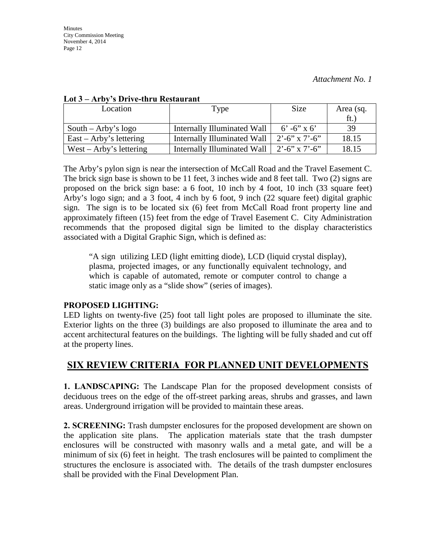| Location                  | Type                        | Size                    | Area (sq. |
|---------------------------|-----------------------------|-------------------------|-----------|
|                           |                             |                         | ft.       |
| South – Arby's $logo$     | Internally Illuminated Wall | $6' - 6' x 6'$          | 39        |
| $East - Arby's lettering$ | Internally Illuminated Wall | $2^{\circ}$ -6" x 7'-6" | 18.15     |
| West – Arby's lettering   | Internally Illuminated Wall | $2^{\circ}$ -6" x 7'-6" | 18.15     |

#### **Lot 3 – Arby's Drive-thru Restaurant**

The Arby's pylon sign is near the intersection of McCall Road and the Travel Easement C. The brick sign base is shown to be 11 feet, 3 inches wide and 8 feet tall. Two (2) signs are proposed on the brick sign base: a 6 foot, 10 inch by 4 foot, 10 inch (33 square feet) Arby's logo sign; and a 3 foot, 4 inch by 6 foot, 9 inch (22 square feet) digital graphic sign. The sign is to be located six (6) feet from McCall Road front property line and approximately fifteen (15) feet from the edge of Travel Easement C. City Administration recommends that the proposed digital sign be limited to the display characteristics associated with a Digital Graphic Sign, which is defined as:

"A sign utilizing LED (light emitting diode), LCD (liquid crystal display), plasma, projected images, or any functionally equivalent technology, and which is capable of automated, remote or computer control to change a static image only as a "slide show" (series of images).

### **PROPOSED LIGHTING:**

LED lights on twenty-five (25) foot tall light poles are proposed to illuminate the site. Exterior lights on the three (3) buildings are also proposed to illuminate the area and to accent architectural features on the buildings. The lighting will be fully shaded and cut off at the property lines.

## **SIX REVIEW CRITERIA FOR PLANNED UNIT DEVELOPMENTS**

**1. LANDSCAPING:** The Landscape Plan for the proposed development consists of deciduous trees on the edge of the off-street parking areas, shrubs and grasses, and lawn areas. Underground irrigation will be provided to maintain these areas.

**2. SCREENING:** Trash dumpster enclosures for the proposed development are shown on the application site plans. The application materials state that the trash dumpster enclosures will be constructed with masonry walls and a metal gate, and will be a minimum of six (6) feet in height. The trash enclosures will be painted to compliment the structures the enclosure is associated with. The details of the trash dumpster enclosures shall be provided with the Final Development Plan.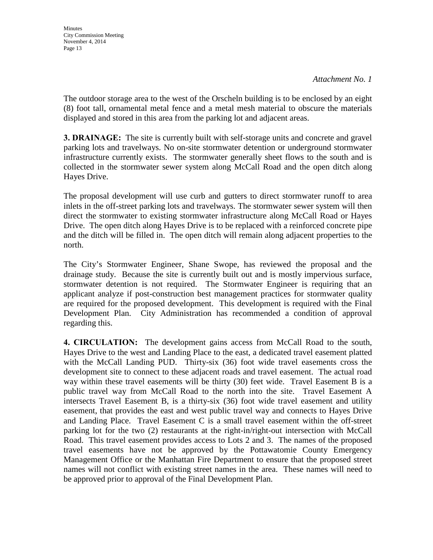The outdoor storage area to the west of the Orscheln building is to be enclosed by an eight (8) foot tall, ornamental metal fence and a metal mesh material to obscure the materials displayed and stored in this area from the parking lot and adjacent areas.

**3. DRAINAGE:** The site is currently built with self-storage units and concrete and gravel parking lots and travelways. No on-site stormwater detention or underground stormwater infrastructure currently exists. The stormwater generally sheet flows to the south and is collected in the stormwater sewer system along McCall Road and the open ditch along Hayes Drive.

The proposal development will use curb and gutters to direct stormwater runoff to area inlets in the off-street parking lots and travelways. The stormwater sewer system will then direct the stormwater to existing stormwater infrastructure along McCall Road or Hayes Drive. The open ditch along Hayes Drive is to be replaced with a reinforced concrete pipe and the ditch will be filled in. The open ditch will remain along adjacent properties to the north.

The City's Stormwater Engineer, Shane Swope, has reviewed the proposal and the drainage study. Because the site is currently built out and is mostly impervious surface, stormwater detention is not required. The Stormwater Engineer is requiring that an applicant analyze if post-construction best management practices for stormwater quality are required for the proposed development. This development is required with the Final Development Plan. City Administration has recommended a condition of approval regarding this.

**4. CIRCULATION:** The development gains access from McCall Road to the south, Hayes Drive to the west and Landing Place to the east, a dedicated travel easement platted with the McCall Landing PUD. Thirty-six (36) foot wide travel easements cross the development site to connect to these adjacent roads and travel easement. The actual road way within these travel easements will be thirty (30) feet wide. Travel Easement B is a public travel way from McCall Road to the north into the site. Travel Easement A intersects Travel Easement B, is a thirty-six (36) foot wide travel easement and utility easement, that provides the east and west public travel way and connects to Hayes Drive and Landing Place. Travel Easement C is a small travel easement within the off-street parking lot for the two (2) restaurants at the right-in/right-out intersection with McCall Road. This travel easement provides access to Lots 2 and 3. The names of the proposed travel easements have not be approved by the Pottawatomie County Emergency Management Office or the Manhattan Fire Department to ensure that the proposed street names will not conflict with existing street names in the area. These names will need to be approved prior to approval of the Final Development Plan.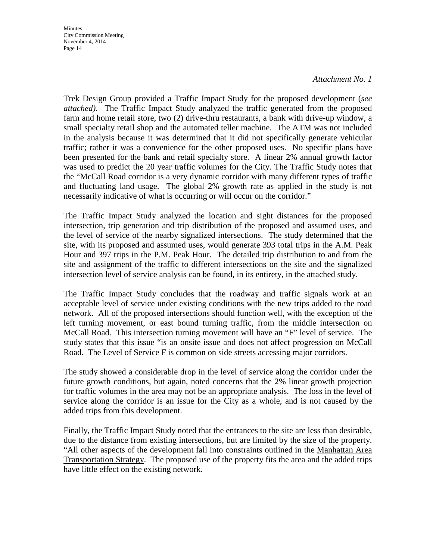**Minutes** City Commission Meeting November 4, 2014 Page 14

#### *Attachment No. 1*

Trek Design Group provided a Traffic Impact Study for the proposed development (*see attached)*. The Traffic Impact Study analyzed the traffic generated from the proposed farm and home retail store, two (2) drive-thru restaurants, a bank with drive-up window, a small specialty retail shop and the automated teller machine. The ATM was not included in the analysis because it was determined that it did not specifically generate vehicular traffic; rather it was a convenience for the other proposed uses. No specific plans have been presented for the bank and retail specialty store. A linear 2% annual growth factor was used to predict the 20 year traffic volumes for the City. The Traffic Study notes that the "McCall Road corridor is a very dynamic corridor with many different types of traffic and fluctuating land usage. The global 2% growth rate as applied in the study is not necessarily indicative of what is occurring or will occur on the corridor."

The Traffic Impact Study analyzed the location and sight distances for the proposed intersection, trip generation and trip distribution of the proposed and assumed uses, and the level of service of the nearby signalized intersections. The study determined that the site, with its proposed and assumed uses, would generate 393 total trips in the A.M. Peak Hour and 397 trips in the P.M. Peak Hour. The detailed trip distribution to and from the site and assignment of the traffic to different intersections on the site and the signalized intersection level of service analysis can be found, in its entirety, in the attached study.

The Traffic Impact Study concludes that the roadway and traffic signals work at an acceptable level of service under existing conditions with the new trips added to the road network. All of the proposed intersections should function well, with the exception of the left turning movement, or east bound turning traffic, from the middle intersection on McCall Road. This intersection turning movement will have an "F" level of service. The study states that this issue "is an onsite issue and does not affect progression on McCall Road. The Level of Service F is common on side streets accessing major corridors.

The study showed a considerable drop in the level of service along the corridor under the future growth conditions, but again, noted concerns that the 2% linear growth projection for traffic volumes in the area may not be an appropriate analysis. The loss in the level of service along the corridor is an issue for the City as a whole, and is not caused by the added trips from this development.

Finally, the Traffic Impact Study noted that the entrances to the site are less than desirable, due to the distance from existing intersections, but are limited by the size of the property. "All other aspects of the development fall into constraints outlined in the Manhattan Area Transportation Strategy. The proposed use of the property fits the area and the added trips have little effect on the existing network.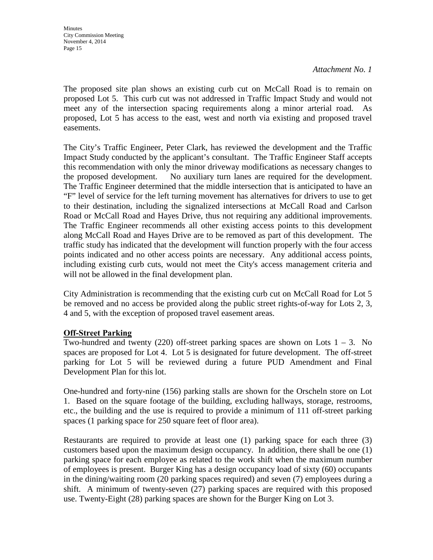The proposed site plan shows an existing curb cut on McCall Road is to remain on proposed Lot 5. This curb cut was not addressed in Traffic Impact Study and would not meet any of the intersection spacing requirements along a minor arterial road. As proposed, Lot 5 has access to the east, west and north via existing and proposed travel easements.

The City's Traffic Engineer, Peter Clark, has reviewed the development and the Traffic Impact Study conducted by the applicant's consultant. The Traffic Engineer Staff accepts this recommendation with only the minor driveway modifications as necessary changes to the proposed development. No auxiliary turn lanes are required for the development. The Traffic Engineer determined that the middle intersection that is anticipated to have an "F" level of service for the left turning movement has alternatives for drivers to use to get to their destination, including the signalized intersections at McCall Road and Carlson Road or McCall Road and Hayes Drive, thus not requiring any additional improvements. The Traffic Engineer recommends all other existing access points to this development along McCall Road and Hayes Drive are to be removed as part of this development. The traffic study has indicated that the development will function properly with the four access points indicated and no other access points are necessary. Any additional access points, including existing curb cuts, would not meet the City's access management criteria and will not be allowed in the final development plan.

City Administration is recommending that the existing curb cut on McCall Road for Lot 5 be removed and no access be provided along the public street rights-of-way for Lots 2, 3, 4 and 5, with the exception of proposed travel easement areas.

## **Off-Street Parking**

Two-hundred and twenty (220) off-street parking spaces are shown on Lots  $1 - 3$ . No spaces are proposed for Lot 4. Lot 5 is designated for future development. The off-street parking for Lot 5 will be reviewed during a future PUD Amendment and Final Development Plan for this lot.

One-hundred and forty-nine (156) parking stalls are shown for the Orscheln store on Lot 1. Based on the square footage of the building, excluding hallways, storage, restrooms, etc., the building and the use is required to provide a minimum of 111 off-street parking spaces (1 parking space for 250 square feet of floor area).

Restaurants are required to provide at least one (1) parking space for each three (3) customers based upon the maximum design occupancy. In addition, there shall be one (1) parking space for each employee as related to the work shift when the maximum number of employees is present. Burger King has a design occupancy load of sixty (60) occupants in the dining/waiting room (20 parking spaces required) and seven (7) employees during a shift. A minimum of twenty-seven (27) parking spaces are required with this proposed use. Twenty-Eight (28) parking spaces are shown for the Burger King on Lot 3.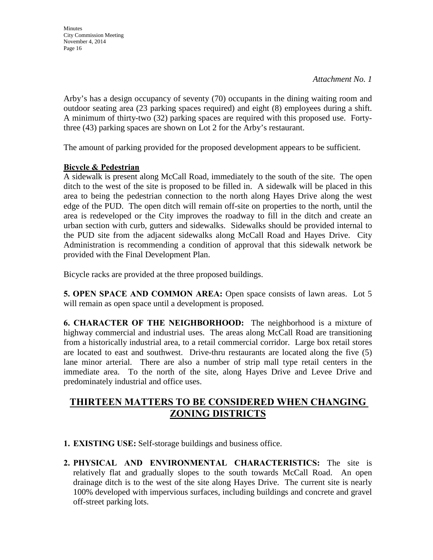**Minutes** City Commission Meeting November 4, 2014 Page 16

Arby's has a design occupancy of seventy (70) occupants in the dining waiting room and outdoor seating area (23 parking spaces required) and eight (8) employees during a shift. A minimum of thirty-two (32) parking spaces are required with this proposed use. Fortythree (43) parking spaces are shown on Lot 2 for the Arby's restaurant.

The amount of parking provided for the proposed development appears to be sufficient.

### **Bicycle & Pedestrian**

A sidewalk is present along McCall Road, immediately to the south of the site. The open ditch to the west of the site is proposed to be filled in. A sidewalk will be placed in this area to being the pedestrian connection to the north along Hayes Drive along the west edge of the PUD. The open ditch will remain off-site on properties to the north, until the area is redeveloped or the City improves the roadway to fill in the ditch and create an urban section with curb, gutters and sidewalks. Sidewalks should be provided internal to the PUD site from the adjacent sidewalks along McCall Road and Hayes Drive. City Administration is recommending a condition of approval that this sidewalk network be provided with the Final Development Plan.

Bicycle racks are provided at the three proposed buildings.

**5. OPEN SPACE AND COMMON AREA:** Open space consists of lawn areas. Lot 5 will remain as open space until a development is proposed.

**6. CHARACTER OF THE NEIGHBORHOOD:** The neighborhood is a mixture of highway commercial and industrial uses. The areas along McCall Road are transitioning from a historically industrial area, to a retail commercial corridor. Large box retail stores are located to east and southwest. Drive-thru restaurants are located along the five (5) lane minor arterial. There are also a number of strip mall type retail centers in the immediate area. To the north of the site, along Hayes Drive and Levee Drive and predominately industrial and office uses.

# **THIRTEEN MATTERS TO BE CONSIDERED WHEN CHANGING ZONING DISTRICTS**

- **1. EXISTING USE:** Self-storage buildings and business office.
- **2. PHYSICAL AND ENVIRONMENTAL CHARACTERISTICS:** The site is relatively flat and gradually slopes to the south towards McCall Road. An open drainage ditch is to the west of the site along Hayes Drive. The current site is nearly 100% developed with impervious surfaces, including buildings and concrete and gravel off-street parking lots.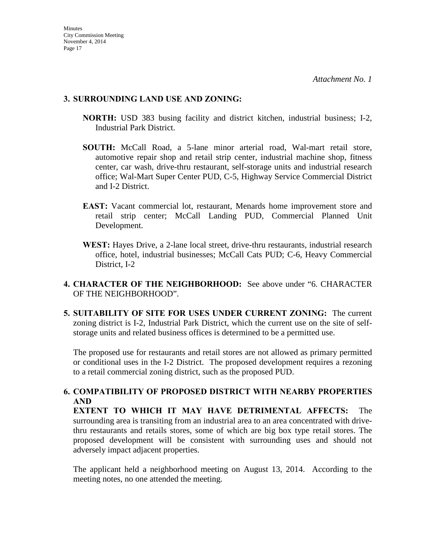#### **3. SURROUNDING LAND USE AND ZONING:**

- **NORTH:** USD 383 busing facility and district kitchen, industrial business; I-2, Industrial Park District.
- **SOUTH:** McCall Road, a 5-lane minor arterial road, Wal-mart retail store, automotive repair shop and retail strip center, industrial machine shop, fitness center, car wash, drive-thru restaurant, self-storage units and industrial research office; Wal-Mart Super Center PUD, C-5, Highway Service Commercial District and I-2 District.
- **EAST:** Vacant commercial lot, restaurant, Menards home improvement store and retail strip center; McCall Landing PUD, Commercial Planned Unit Development.
- **WEST:** Hayes Drive, a 2-lane local street, drive-thru restaurants, industrial research office, hotel, industrial businesses; McCall Cats PUD; C-6, Heavy Commercial District, I-2
- **4. CHARACTER OF THE NEIGHBORHOOD:** See above under "6. CHARACTER OF THE NEIGHBORHOOD".
- **5. SUITABILITY OF SITE FOR USES UNDER CURRENT ZONING:** The current zoning district is I-2, Industrial Park District, which the current use on the site of selfstorage units and related business offices is determined to be a permitted use.

The proposed use for restaurants and retail stores are not allowed as primary permitted or conditional uses in the I-2 District. The proposed development requires a rezoning to a retail commercial zoning district, such as the proposed PUD.

## **6. COMPATIBILITY OF PROPOSED DISTRICT WITH NEARBY PROPERTIES AND**

**EXTENT TO WHICH IT MAY HAVE DETRIMENTAL AFFECTS:** The surrounding area is transiting from an industrial area to an area concentrated with drivethru restaurants and retails stores, some of which are big box type retail stores. The proposed development will be consistent with surrounding uses and should not adversely impact adjacent properties.

The applicant held a neighborhood meeting on August 13, 2014. According to the meeting notes, no one attended the meeting.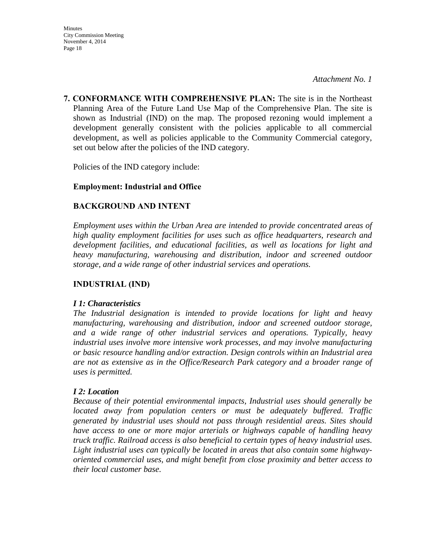**7. CONFORMANCE WITH COMPREHENSIVE PLAN:** The site is in the Northeast Planning Area of the Future Land Use Map of the Comprehensive Plan. The site is shown as Industrial (IND) on the map. The proposed rezoning would implement a development generally consistent with the policies applicable to all commercial development, as well as policies applicable to the Community Commercial category, set out below after the policies of the IND category.

Policies of the IND category include:

### **Employment: Industrial and Office**

## **BACKGROUND AND INTENT**

*Employment uses within the Urban Area are intended to provide concentrated areas of high quality employment facilities for uses such as office headquarters, research and development facilities, and educational facilities, as well as locations for light and heavy manufacturing, warehousing and distribution, indoor and screened outdoor storage, and a wide range of other industrial services and operations.* 

### **INDUSTRIAL (IND)**

#### *I 1: Characteristics*

*The Industrial designation is intended to provide locations for light and heavy manufacturing, warehousing and distribution, indoor and screened outdoor storage, and a wide range of other industrial services and operations. Typically, heavy industrial uses involve more intensive work processes, and may involve manufacturing or basic resource handling and/or extraction. Design controls within an Industrial area are not as extensive as in the Office/Research Park category and a broader range of uses is permitted.* 

#### *I 2: Location*

*Because of their potential environmental impacts, Industrial uses should generally be located away from population centers or must be adequately buffered. Traffic generated by industrial uses should not pass through residential areas. Sites should have access to one or more major arterials or highways capable of handling heavy truck traffic. Railroad access is also beneficial to certain types of heavy industrial uses. Light industrial uses can typically be located in areas that also contain some highwayoriented commercial uses, and might benefit from close proximity and better access to their local customer base.*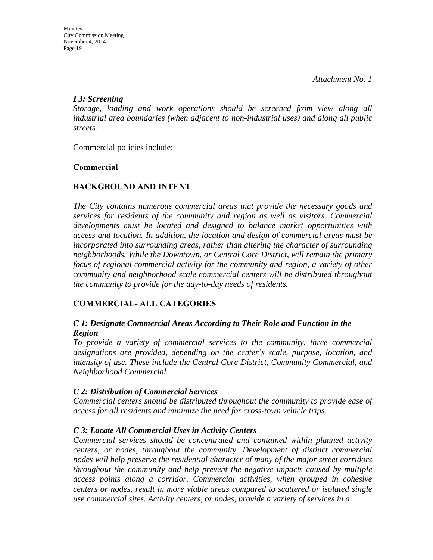### *I 3: Screening*

*Storage, loading and work operations should be screened from view along all industrial area boundaries (when adjacent to non-industrial uses) and along all public streets.*

Commercial policies include:

## **Commercial**

## **BACKGROUND AND INTENT**

*The City contains numerous commercial areas that provide the necessary goods and services for residents of the community and region as well as visitors. Commercial developments must be located and designed to balance market opportunities with access and location. In addition, the location and design of commercial areas must be incorporated into surrounding areas, rather than altering the character of surrounding neighborhoods. While the Downtown, or Central Core District, will remain the primary focus of regional commercial activity for the community and region, a variety of other community and neighborhood scale commercial centers will be distributed throughout the community to provide for the day-to-day needs of residents.* 

## **COMMERCIAL- ALL CATEGORIES**

## *C 1: Designate Commercial Areas According to Their Role and Function in the Region*

*To provide a variety of commercial services to the community, three commercial designations are provided, depending on the center's scale, purpose, location, and intensity of use. These include the Central Core District, Community Commercial, and Neighborhood Commercial.* 

### *C 2: Distribution of Commercial Services*

*Commercial centers should be distributed throughout the community to provide ease of access for all residents and minimize the need for cross-town vehicle trips.* 

## *C 3: Locate All Commercial Uses in Activity Centers*

*Commercial services should be concentrated and contained within planned activity centers, or nodes, throughout the community. Development of distinct commercial nodes will help preserve the residential character of many of the major street corridors throughout the community and help prevent the negative impacts caused by multiple access points along a corridor. Commercial activities, when grouped in cohesive centers or nodes, result in more viable areas compared to scattered or isolated single use commercial sites. Activity centers, or nodes, provide a variety of services in a*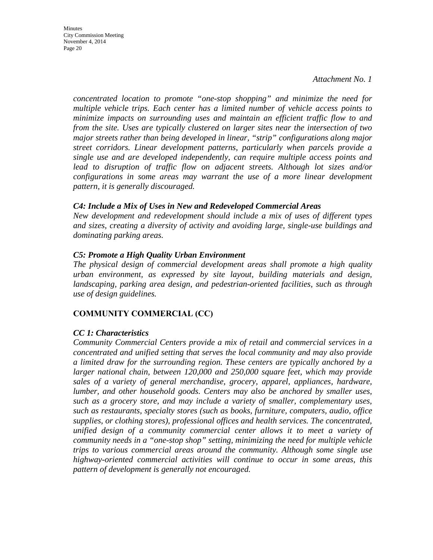**Minutes** City Commission Meeting November 4, 2014 Page 20

> *concentrated location to promote "one-stop shopping" and minimize the need for multiple vehicle trips. Each center has a limited number of vehicle access points to minimize impacts on surrounding uses and maintain an efficient traffic flow to and from the site. Uses are typically clustered on larger sites near the intersection of two major streets rather than being developed in linear, "strip" configurations along major street corridors. Linear development patterns, particularly when parcels provide a single use and are developed independently, can require multiple access points and lead to disruption of traffic flow on adjacent streets. Although lot sizes and/or configurations in some areas may warrant the use of a more linear development pattern, it is generally discouraged.*

#### *C4: Include a Mix of Uses in New and Redeveloped Commercial Areas*

*New development and redevelopment should include a mix of uses of different types and sizes, creating a diversity of activity and avoiding large, single-use buildings and dominating parking areas.* 

#### *C5: Promote a High Quality Urban Environment*

*The physical design of commercial development areas shall promote a high quality urban environment, as expressed by site layout, building materials and design, landscaping, parking area design, and pedestrian-oriented facilities, such as through use of design guidelines.* 

#### **COMMUNITY COMMERCIAL (CC)**

#### *CC 1: Characteristics*

*Community Commercial Centers provide a mix of retail and commercial services in a concentrated and unified setting that serves the local community and may also provide a limited draw for the surrounding region. These centers are typically anchored by a larger national chain, between 120,000 and 250,000 square feet, which may provide sales of a variety of general merchandise, grocery, apparel, appliances, hardware, lumber, and other household goods. Centers may also be anchored by smaller uses, such as a grocery store, and may include a variety of smaller, complementary uses, such as restaurants, specialty stores (such as books, furniture, computers, audio, office supplies, or clothing stores), professional offices and health services. The concentrated, unified design of a community commercial center allows it to meet a variety of community needs in a "one-stop shop" setting, minimizing the need for multiple vehicle trips to various commercial areas around the community. Although some single use highway-oriented commercial activities will continue to occur in some areas, this pattern of development is generally not encouraged.*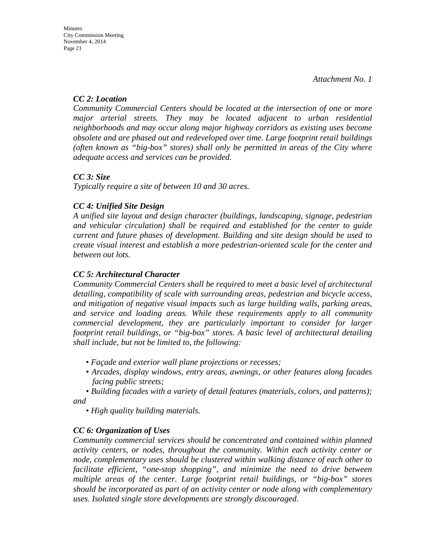## *CC 2: Location*

*Community Commercial Centers should be located at the intersection of one or more major arterial streets. They may be located adjacent to urban residential neighborhoods and may occur along major highway corridors as existing uses become obsolete and are phased out and redeveloped over time. Large footprint retail buildings (often known as "big-box" stores) shall only be permitted in areas of the City where adequate access and services can be provided.* 

## *CC 3: Size*

*Typically require a site of between 10 and 30 acres.* 

## *CC 4: Unified Site Design*

*A unified site layout and design character (buildings, landscaping, signage, pedestrian and vehicular circulation) shall be required and established for the center to guide current and future phases of development. Building and site design should be used to create visual interest and establish a more pedestrian-oriented scale for the center and between out lots.* 

## *CC 5: Architectural Character*

*Community Commercial Centers shall be required to meet a basic level of architectural detailing, compatibility of scale with surrounding areas, pedestrian and bicycle access, and mitigation of negative visual impacts such as large building walls, parking areas, and service and loading areas. While these requirements apply to all community commercial development, they are particularly important to consider for larger footprint retail buildings, or "big-box" stores. A basic level of architectural detailing shall include, but not be limited to, the following:* 

- *Façade and exterior wall plane projections or recesses;*
- *Arcades, display windows, entry areas, awnings, or other features along facades facing public streets;*

*• Building facades with a variety of detail features (materials, colors, and patterns); and* 

*• High quality building materials.* 

## *CC 6: Organization of Uses*

*Community commercial services should be concentrated and contained within planned activity centers, or nodes, throughout the community. Within each activity center or node, complementary uses should be clustered within walking distance of each other to facilitate efficient, "one-stop shopping", and minimize the need to drive between multiple areas of the center. Large footprint retail buildings, or "big-box" stores should be incorporated as part of an activity center or node along with complementary uses. Isolated single store developments are strongly discouraged.*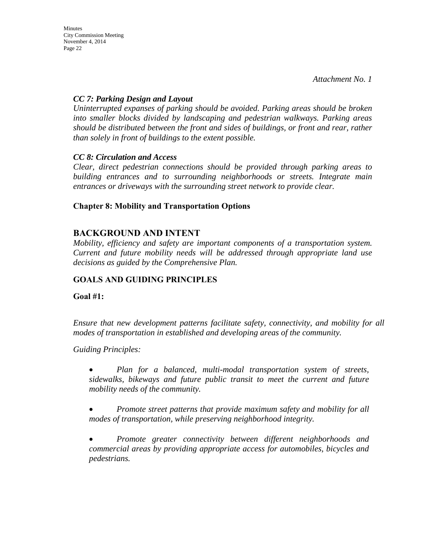**Minutes** City Commission Meeting November 4, 2014 Page 22

*Attachment No. 1* 

#### *CC 7: Parking Design and Layout*

*Uninterrupted expanses of parking should be avoided. Parking areas should be broken into smaller blocks divided by landscaping and pedestrian walkways. Parking areas should be distributed between the front and sides of buildings, or front and rear, rather than solely in front of buildings to the extent possible.* 

#### *CC 8: Circulation and Access*

*Clear, direct pedestrian connections should be provided through parking areas to building entrances and to surrounding neighborhoods or streets. Integrate main entrances or driveways with the surrounding street network to provide clear.* 

### **Chapter 8: Mobility and Transportation Options**

## **BACKGROUND AND INTENT**

*Mobility, efficiency and safety are important components of a transportation system. Current and future mobility needs will be addressed through appropriate land use decisions as guided by the Comprehensive Plan.* 

## **GOALS AND GUIDING PRINCIPLES**

**Goal #1:** 

*Ensure that new development patterns facilitate safety, connectivity, and mobility for all modes of transportation in established and developing areas of the community.* 

*Guiding Principles:* 

• *Plan for a balanced, multi-modal transportation system of streets, sidewalks, bikeways and future public transit to meet the current and future mobility needs of the community.* 

• *Promote street patterns that provide maximum safety and mobility for all modes of transportation, while preserving neighborhood integrity.* 

• *Promote greater connectivity between different neighborhoods and commercial areas by providing appropriate access for automobiles, bicycles and pedestrians.*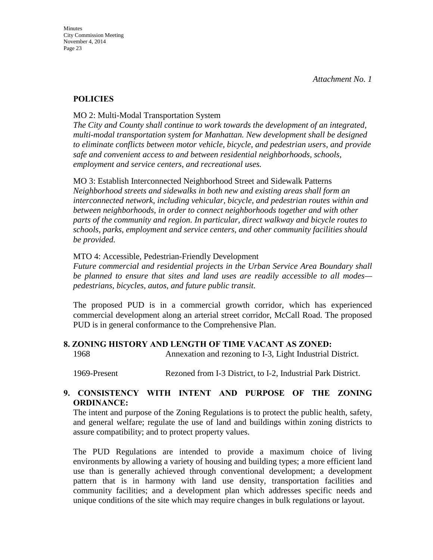### **POLICIES**

MO 2: Multi-Modal Transportation System

*The City and County shall continue to work towards the development of an integrated, multi-modal transportation system for Manhattan. New development shall be designed to eliminate conflicts between motor vehicle, bicycle, and pedestrian users, and provide safe and convenient access to and between residential neighborhoods, schools, employment and service centers, and recreational uses.* 

MO 3: Establish Interconnected Neighborhood Street and Sidewalk Patterns *Neighborhood streets and sidewalks in both new and existing areas shall form an interconnected network, including vehicular, bicycle, and pedestrian routes within and between neighborhoods, in order to connect neighborhoods together and with other parts of the community and region. In particular, direct walkway and bicycle routes to schools, parks, employment and service centers, and other community facilities should be provided.* 

#### MTO 4: Accessible, Pedestrian-Friendly Development

*Future commercial and residential projects in the Urban Service Area Boundary shall be planned to ensure that sites and land uses are readily accessible to all modes pedestrians, bicycles, autos, and future public transit.* 

The proposed PUD is in a commercial growth corridor, which has experienced commercial development along an arterial street corridor, McCall Road. The proposed PUD is in general conformance to the Comprehensive Plan.

### **8. ZONING HISTORY AND LENGTH OF TIME VACANT AS ZONED:**

1968 Annexation and rezoning to I-3, Light Industrial District.

1969-Present Rezoned from I-3 District, to I-2, Industrial Park District.

### **9. CONSISTENCY WITH INTENT AND PURPOSE OF THE ZONING ORDINANCE:**

The intent and purpose of the Zoning Regulations is to protect the public health, safety, and general welfare; regulate the use of land and buildings within zoning districts to assure compatibility; and to protect property values.

The PUD Regulations are intended to provide a maximum choice of living environments by allowing a variety of housing and building types; a more efficient land use than is generally achieved through conventional development; a development pattern that is in harmony with land use density, transportation facilities and community facilities; and a development plan which addresses specific needs and unique conditions of the site which may require changes in bulk regulations or layout.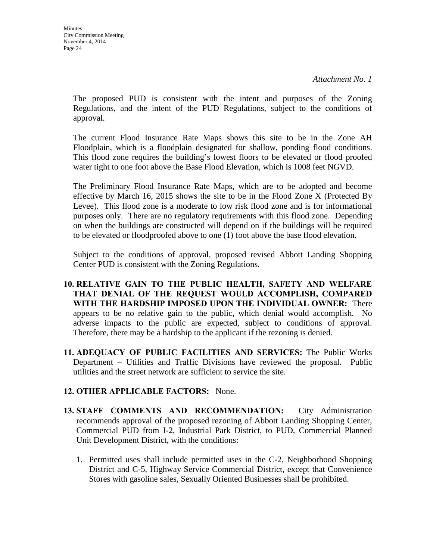The proposed PUD is consistent with the intent and purposes of the Zoning Regulations, and the intent of the PUD Regulations, subject to the conditions of approval.

The current Flood Insurance Rate Maps shows this site to be in the Zone AH Floodplain, which is a floodplain designated for shallow, ponding flood conditions. This flood zone requires the building's lowest floors to be elevated or flood proofed water tight to one foot above the Base Flood Elevation, which is 1008 feet NGVD.

The Preliminary Flood Insurance Rate Maps, which are to be adopted and become effective by March 16, 2015 shows the site to be in the Flood Zone X (Protected By Levee). This flood zone is a moderate to low risk flood zone and is for informational purposes only. There are no regulatory requirements with this flood zone. Depending on when the buildings are constructed will depend on if the buildings will be required to be elevated or floodproofed above to one (1) foot above the base flood elevation.

Subject to the conditions of approval, proposed revised Abbott Landing Shopping Center PUD is consistent with the Zoning Regulations.

- **10. RELATIVE GAIN TO THE PUBLIC HEALTH, SAFETY AND WELFARE THAT DENIAL OF THE REQUEST WOULD ACCOMPLISH, COMPARED WITH THE HARDSHIP IMPOSED UPON THE INDIVIDUAL OWNER:** There appears to be no relative gain to the public, which denial would accomplish. No adverse impacts to the public are expected, subject to conditions of approval. Therefore, there may be a hardship to the applicant if the rezoning is denied.
- **11. ADEQUACY OF PUBLIC FACILITIES AND SERVICES:** The Public Works Department – Utilities and Traffic Divisions have reviewed the proposal. Public utilities and the street network are sufficient to service the site.

### **12. OTHER APPLICABLE FACTORS:** None.

- **13. STAFF COMMENTS AND RECOMMENDATION:** City Administration recommends approval of the proposed rezoning of Abbott Landing Shopping Center, Commercial PUD from I-2, Industrial Park District, to PUD, Commercial Planned Unit Development District, with the conditions:
	- 1. Permitted uses shall include permitted uses in the C-2, Neighborhood Shopping District and C-5, Highway Service Commercial District, except that Convenience Stores with gasoline sales, Sexually Oriented Businesses shall be prohibited.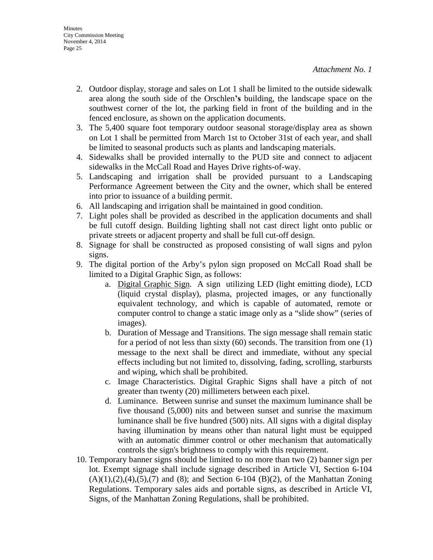- 2. Outdoor display, storage and sales on Lot 1 shall be limited to the outside sidewalk area along the south side of the Orschlen**'s** building, the landscape space on the southwest corner of the lot, the parking field in front of the building and in the fenced enclosure, as shown on the application documents.
- 3. The 5,400 square foot temporary outdoor seasonal storage/display area as shown on Lot 1 shall be permitted from March 1st to October 31st of each year, and shall be limited to seasonal products such as plants and landscaping materials.
- 4. Sidewalks shall be provided internally to the PUD site and connect to adjacent sidewalks in the McCall Road and Hayes Drive rights-of-way.
- 5. Landscaping and irrigation shall be provided pursuant to a Landscaping Performance Agreement between the City and the owner, which shall be entered into prior to issuance of a building permit.
- 6. All landscaping and irrigation shall be maintained in good condition.
- 7. Light poles shall be provided as described in the application documents and shall be full cutoff design. Building lighting shall not cast direct light onto public or private streets or adjacent property and shall be full cut-off design.
- 8. Signage for shall be constructed as proposed consisting of wall signs and pylon signs.
- 9. The digital portion of the Arby's pylon sign proposed on McCall Road shall be limited to a Digital Graphic Sign, as follows:
	- a. Digital Graphic Sign. A sign utilizing LED (light emitting diode), LCD (liquid crystal display), plasma, projected images, or any functionally equivalent technology, and which is capable of automated, remote or computer control to change a static image only as a "slide show" (series of images).
	- b. Duration of Message and Transitions. The sign message shall remain static for a period of not less than sixty (60) seconds. The transition from one (1) message to the next shall be direct and immediate, without any special effects including but not limited to, dissolving, fading, scrolling, starbursts and wiping, which shall be prohibited.
	- c. Image Characteristics. Digital Graphic Signs shall have a pitch of not greater than twenty (20) millimeters between each pixel.
	- d. Luminance. Between sunrise and sunset the maximum luminance shall be five thousand (5,000) nits and between sunset and sunrise the maximum luminance shall be five hundred (500) nits. All signs with a digital display having illumination by means other than natural light must be equipped with an automatic dimmer control or other mechanism that automatically controls the sign's brightness to comply with this requirement.
- 10. Temporary banner signs should be limited to no more than two (2) banner sign per lot. Exempt signage shall include signage described in Article VI, Section 6-104  $(A)(1),(2),(4),(5),(7)$  and  $(8)$ ; and Section 6-104  $(B)(2)$ , of the Manhattan Zoning Regulations. Temporary sales aids and portable signs, as described in Article VI, Signs, of the Manhattan Zoning Regulations, shall be prohibited.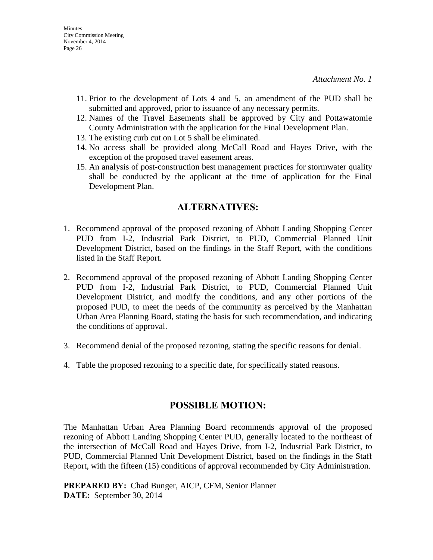- 11. Prior to the development of Lots 4 and 5, an amendment of the PUD shall be submitted and approved, prior to issuance of any necessary permits.
- 12. Names of the Travel Easements shall be approved by City and Pottawatomie County Administration with the application for the Final Development Plan.
- 13. The existing curb cut on Lot 5 shall be eliminated.
- 14. No access shall be provided along McCall Road and Hayes Drive, with the exception of the proposed travel easement areas.
- 15. An analysis of post-construction best management practices for stormwater quality shall be conducted by the applicant at the time of application for the Final Development Plan.

## **ALTERNATIVES:**

- 1. Recommend approval of the proposed rezoning of Abbott Landing Shopping Center PUD from I-2, Industrial Park District, to PUD, Commercial Planned Unit Development District, based on the findings in the Staff Report, with the conditions listed in the Staff Report.
- 2. Recommend approval of the proposed rezoning of Abbott Landing Shopping Center PUD from I-2, Industrial Park District, to PUD, Commercial Planned Unit Development District, and modify the conditions, and any other portions of the proposed PUD, to meet the needs of the community as perceived by the Manhattan Urban Area Planning Board, stating the basis for such recommendation, and indicating the conditions of approval.
- 3. Recommend denial of the proposed rezoning, stating the specific reasons for denial.
- 4. Table the proposed rezoning to a specific date, for specifically stated reasons.

## **POSSIBLE MOTION:**

The Manhattan Urban Area Planning Board recommends approval of the proposed rezoning of Abbott Landing Shopping Center PUD, generally located to the northeast of the intersection of McCall Road and Hayes Drive, from I-2, Industrial Park District, to PUD, Commercial Planned Unit Development District, based on the findings in the Staff Report, with the fifteen (15) conditions of approval recommended by City Administration.

**PREPARED BY:** Chad Bunger, AICP, CFM, Senior Planner **DATE:** September 30, 2014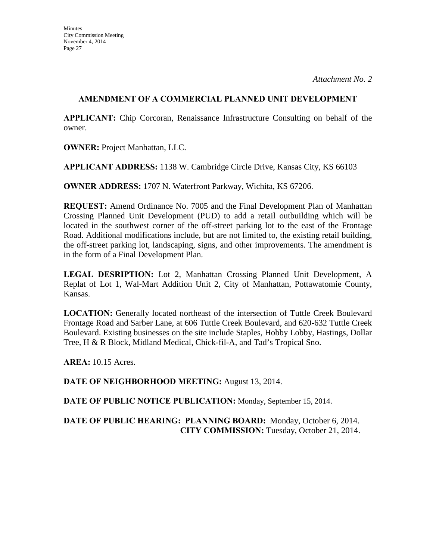#### **AMENDMENT OF A COMMERCIAL PLANNED UNIT DEVELOPMENT**

**APPLICANT:** Chip Corcoran, Renaissance Infrastructure Consulting on behalf of the owner.

**OWNER:** Project Manhattan, LLC.

**APPLICANT ADDRESS:** 1138 W. Cambridge Circle Drive, Kansas City, KS 66103

**OWNER ADDRESS:** 1707 N. Waterfront Parkway, Wichita, KS 67206.

**REQUEST:** Amend Ordinance No. 7005 and the Final Development Plan of Manhattan Crossing Planned Unit Development (PUD) to add a retail outbuilding which will be located in the southwest corner of the off-street parking lot to the east of the Frontage Road. Additional modifications include, but are not limited to, the existing retail building, the off-street parking lot, landscaping, signs, and other improvements. The amendment is in the form of a Final Development Plan.

**LEGAL DESRIPTION:** Lot 2, Manhattan Crossing Planned Unit Development, A Replat of Lot 1, Wal-Mart Addition Unit 2, City of Manhattan, Pottawatomie County, Kansas.

**LOCATION:** Generally located northeast of the intersection of Tuttle Creek Boulevard Frontage Road and Sarber Lane, at 606 Tuttle Creek Boulevard, and 620-632 Tuttle Creek Boulevard. Existing businesses on the site include Staples, Hobby Lobby, Hastings, Dollar Tree, H & R Block, Midland Medical, Chick-fil-A, and Tad's Tropical Sno.

**AREA:** 10.15 Acres.

**DATE OF NEIGHBORHOOD MEETING:** August 13, 2014.

**DATE OF PUBLIC NOTICE PUBLICATION:** Monday, September 15, 2014.

## **DATE OF PUBLIC HEARING: PLANNING BOARD:** Monday, October 6, 2014. **CITY COMMISSION:** Tuesday, October 21, 2014.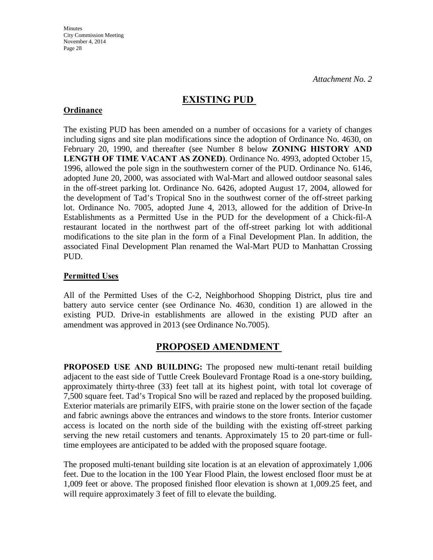## **EXISTING PUD**

### **Ordinance**

The existing PUD has been amended on a number of occasions for a variety of changes including signs and site plan modifications since the adoption of Ordinance No. 4630, on February 20, 1990, and thereafter (see Number 8 below **ZONING HISTORY AND LENGTH OF TIME VACANT AS ZONED)**. Ordinance No. 4993, adopted October 15, 1996, allowed the pole sign in the southwestern corner of the PUD. Ordinance No. 6146, adopted June 20, 2000, was associated with Wal-Mart and allowed outdoor seasonal sales in the off-street parking lot. Ordinance No. 6426, adopted August 17, 2004, allowed for the development of Tad's Tropical Sno in the southwest corner of the off-street parking lot. Ordinance No. 7005, adopted June 4, 2013, allowed for the addition of Drive-In Establishments as a Permitted Use in the PUD for the development of a Chick-fil-A restaurant located in the northwest part of the off-street parking lot with additional modifications to the site plan in the form of a Final Development Plan. In addition, the associated Final Development Plan renamed the Wal-Mart PUD to Manhattan Crossing PUD.

## **Permitted Uses**

All of the Permitted Uses of the C-2, Neighborhood Shopping District, plus tire and battery auto service center (see Ordinance No. 4630, condition 1) are allowed in the existing PUD. Drive-in establishments are allowed in the existing PUD after an amendment was approved in 2013 (see Ordinance No.7005).

# **PROPOSED AMENDMENT**

**PROPOSED USE AND BUILDING:** The proposed new multi-tenant retail building adjacent to the east side of Tuttle Creek Boulevard Frontage Road is a one-story building, approximately thirty-three (33) feet tall at its highest point, with total lot coverage of 7,500 square feet. Tad's Tropical Sno will be razed and replaced by the proposed building. Exterior materials are primarily EIFS, with prairie stone on the lower section of the façade and fabric awnings above the entrances and windows to the store fronts. Interior customer access is located on the north side of the building with the existing off-street parking serving the new retail customers and tenants. Approximately 15 to 20 part-time or fulltime employees are anticipated to be added with the proposed square footage.

The proposed multi-tenant building site location is at an elevation of approximately 1,006 feet. Due to the location in the 100 Year Flood Plain, the lowest enclosed floor must be at 1,009 feet or above. The proposed finished floor elevation is shown at 1,009.25 feet, and will require approximately 3 feet of fill to elevate the building.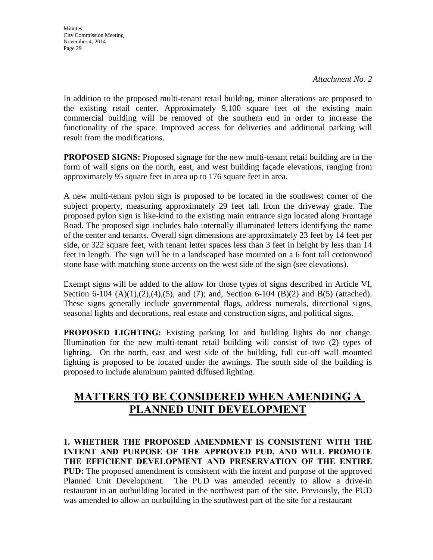**Minutes** City Commission Meeting November 4, 2014 Page 29

*Attachment No. 2* 

In addition to the proposed multi-tenant retail building, minor alterations are proposed to the existing retail center. Approximately 9,100 square feet of the existing main commercial building will be removed of the southern end in order to increase the functionality of the space. Improved access for deliveries and additional parking will result from the modifications.

**PROPOSED SIGNS:** Proposed signage for the new multi-tenant retail building are in the form of wall signs on the north, east, and west building façade elevations, ranging from approximately 95 square feet in area up to 176 square feet in area.

A new multi-tenant pylon sign is proposed to be located in the southwest corner of the subject property, measuring approximately 29 feet tall from the driveway grade. The proposed pylon sign is like-kind to the existing main entrance sign located along Frontage Road. The proposed sign includes halo internally illuminated letters identifying the name of the center and tenants. Overall sign dimensions are approximately 23 feet by 14 feet per side, or 322 square feet, with tenant letter spaces less than 3 feet in height by less than 14 feet in length. The sign will be in a landscaped base mounted on a 6 foot tall cottonwood stone base with matching stone accents on the west side of the sign (see elevations).

Exempt signs will be added to the allow for those types of signs described in Article VI, Section 6-104 (A)(1),(2),(4),(5), and (7); and, Section 6-104 (B)(2) and B(5) (attached). These signs generally include governmental flags, address numerals, directional signs, seasonal lights and decorations, real estate and construction signs, and political signs.

**PROPOSED LIGHTING:** Existing parking lot and building lights do not change. Illumination for the new multi-tenant retail building will consist of two (2) types of lighting. On the north, east and west side of the building, full cut-off wall mounted lighting is proposed to be located under the awnings. The south side of the building is proposed to include aluminum painted diffused lighting.

# **MATTERS TO BE CONSIDERED WHEN AMENDING A PLANNED UNIT DEVELOPMENT**

**1. WHETHER THE PROPOSED AMENDMENT IS CONSISTENT WITH THE INTENT AND PURPOSE OF THE APPROVED PUD, AND WILL PROMOTE THE EFFICIENT DEVELOPMENT AND PRESERVATION OF THE ENTIRE PUD:** The proposed amendment is consistent with the intent and purpose of the approved Planned Unit Development. The PUD was amended recently to allow a drive-in restaurant in an outbuilding located in the northwest part of the site. Previously, the PUD was amended to allow an outbuilding in the southwest part of the site for a restaurant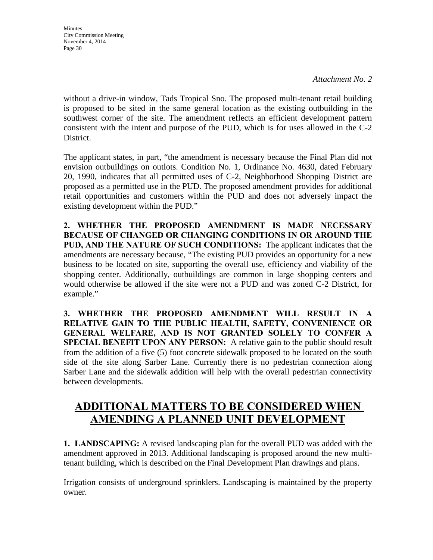**Minutes** City Commission Meeting November 4, 2014 Page 30

*Attachment No. 2* 

without a drive-in window, Tads Tropical Sno. The proposed multi-tenant retail building is proposed to be sited in the same general location as the existing outbuilding in the southwest corner of the site. The amendment reflects an efficient development pattern consistent with the intent and purpose of the PUD, which is for uses allowed in the C-2 District.

The applicant states, in part, "the amendment is necessary because the Final Plan did not envision outbuildings on outlots. Condition No. 1, Ordinance No. 4630, dated February 20, 1990, indicates that all permitted uses of C-2, Neighborhood Shopping District are proposed as a permitted use in the PUD. The proposed amendment provides for additional retail opportunities and customers within the PUD and does not adversely impact the existing development within the PUD."

**2. WHETHER THE PROPOSED AMENDMENT IS MADE NECESSARY BECAUSE OF CHANGED OR CHANGING CONDITIONS IN OR AROUND THE PUD, AND THE NATURE OF SUCH CONDITIONS:** The applicant indicates that the amendments are necessary because, "The existing PUD provides an opportunity for a new business to be located on site, supporting the overall use, efficiency and viability of the shopping center. Additionally, outbuildings are common in large shopping centers and would otherwise be allowed if the site were not a PUD and was zoned C-2 District, for example."

**3. WHETHER THE PROPOSED AMENDMENT WILL RESULT IN A RELATIVE GAIN TO THE PUBLIC HEALTH, SAFETY, CONVENIENCE OR GENERAL WELFARE, AND IS NOT GRANTED SOLELY TO CONFER A SPECIAL BENEFIT UPON ANY PERSON:** A relative gain to the public should result from the addition of a five (5) foot concrete sidewalk proposed to be located on the south side of the site along Sarber Lane. Currently there is no pedestrian connection along Sarber Lane and the sidewalk addition will help with the overall pedestrian connectivity between developments.

# **ADDITIONAL MATTERS TO BE CONSIDERED WHEN AMENDING A PLANNED UNIT DEVELOPMENT**

**1. LANDSCAPING:** A revised landscaping plan for the overall PUD was added with the amendment approved in 2013. Additional landscaping is proposed around the new multitenant building, which is described on the Final Development Plan drawings and plans.

Irrigation consists of underground sprinklers. Landscaping is maintained by the property owner.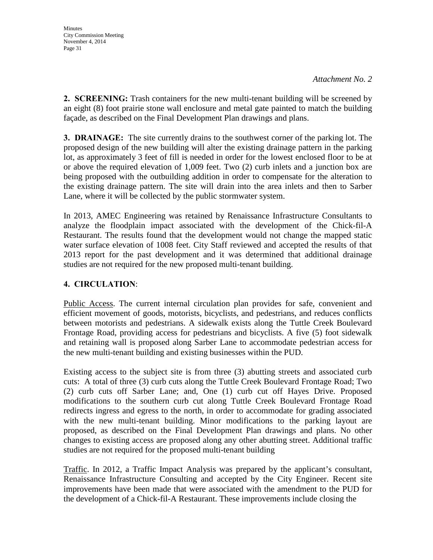**2. SCREENING:** Trash containers for the new multi-tenant building will be screened by an eight (8) foot prairie stone wall enclosure and metal gate painted to match the building façade, as described on the Final Development Plan drawings and plans.

**3. DRAINAGE:** The site currently drains to the southwest corner of the parking lot. The proposed design of the new building will alter the existing drainage pattern in the parking lot, as approximately 3 feet of fill is needed in order for the lowest enclosed floor to be at or above the required elevation of 1,009 feet. Two (2) curb inlets and a junction box are being proposed with the outbuilding addition in order to compensate for the alteration to the existing drainage pattern. The site will drain into the area inlets and then to Sarber Lane, where it will be collected by the public stormwater system.

In 2013, AMEC Engineering was retained by Renaissance Infrastructure Consultants to analyze the floodplain impact associated with the development of the Chick-fil-A Restaurant. The results found that the development would not change the mapped static water surface elevation of 1008 feet. City Staff reviewed and accepted the results of that 2013 report for the past development and it was determined that additional drainage studies are not required for the new proposed multi-tenant building.

## **4. CIRCULATION**:

Public Access. The current internal circulation plan provides for safe, convenient and efficient movement of goods, motorists, bicyclists, and pedestrians, and reduces conflicts between motorists and pedestrians. A sidewalk exists along the Tuttle Creek Boulevard Frontage Road, providing access for pedestrians and bicyclists. A five (5) foot sidewalk and retaining wall is proposed along Sarber Lane to accommodate pedestrian access for the new multi-tenant building and existing businesses within the PUD.

Existing access to the subject site is from three (3) abutting streets and associated curb cuts: A total of three (3) curb cuts along the Tuttle Creek Boulevard Frontage Road; Two (2) curb cuts off Sarber Lane; and, One (1) curb cut off Hayes Drive. Proposed modifications to the southern curb cut along Tuttle Creek Boulevard Frontage Road redirects ingress and egress to the north, in order to accommodate for grading associated with the new multi-tenant building. Minor modifications to the parking layout are proposed, as described on the Final Development Plan drawings and plans. No other changes to existing access are proposed along any other abutting street. Additional traffic studies are not required for the proposed multi-tenant building

Traffic. In 2012, a Traffic Impact Analysis was prepared by the applicant's consultant, Renaissance Infrastructure Consulting and accepted by the City Engineer. Recent site improvements have been made that were associated with the amendment to the PUD for the development of a Chick-fil-A Restaurant. These improvements include closing the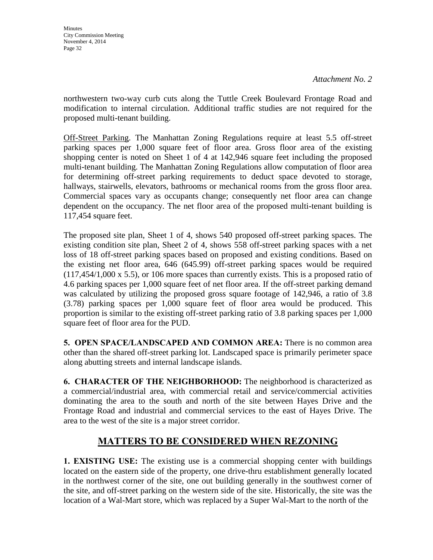**Minutes** City Commission Meeting November 4, 2014 Page 32

northwestern two-way curb cuts along the Tuttle Creek Boulevard Frontage Road and modification to internal circulation. Additional traffic studies are not required for the proposed multi-tenant building.

Off-Street Parking. The Manhattan Zoning Regulations require at least 5.5 off-street parking spaces per 1,000 square feet of floor area. Gross floor area of the existing shopping center is noted on Sheet 1 of 4 at 142,946 square feet including the proposed multi-tenant building. The Manhattan Zoning Regulations allow computation of floor area for determining off-street parking requirements to deduct space devoted to storage, hallways, stairwells, elevators, bathrooms or mechanical rooms from the gross floor area. Commercial spaces vary as occupants change; consequently net floor area can change dependent on the occupancy. The net floor area of the proposed multi-tenant building is 117,454 square feet.

The proposed site plan, Sheet 1 of 4, shows 540 proposed off-street parking spaces. The existing condition site plan, Sheet 2 of 4, shows 558 off-street parking spaces with a net loss of 18 off-street parking spaces based on proposed and existing conditions. Based on the existing net floor area, 646 (645.99) off-street parking spaces would be required (117,454/1,000 x 5.5), or 106 more spaces than currently exists. This is a proposed ratio of 4.6 parking spaces per 1,000 square feet of net floor area. If the off-street parking demand was calculated by utilizing the proposed gross square footage of 142,946, a ratio of 3.8 (3.78) parking spaces per 1,000 square feet of floor area would be produced. This proportion is similar to the existing off-street parking ratio of 3.8 parking spaces per 1,000 square feet of floor area for the PUD.

**5. OPEN SPACE/LANDSCAPED AND COMMON AREA:** There is no common area other than the shared off-street parking lot. Landscaped space is primarily perimeter space along abutting streets and internal landscape islands.

**6. CHARACTER OF THE NEIGHBORHOOD:** The neighborhood is characterized as a commercial/industrial area, with commercial retail and service/commercial activities dominating the area to the south and north of the site between Hayes Drive and the Frontage Road and industrial and commercial services to the east of Hayes Drive. The area to the west of the site is a major street corridor.

# **MATTERS TO BE CONSIDERED WHEN REZONING**

**1. EXISTING USE:** The existing use is a commercial shopping center with buildings located on the eastern side of the property, one drive-thru establishment generally located in the northwest corner of the site, one out building generally in the southwest corner of the site, and off-street parking on the western side of the site. Historically, the site was the location of a Wal-Mart store, which was replaced by a Super Wal-Mart to the north of the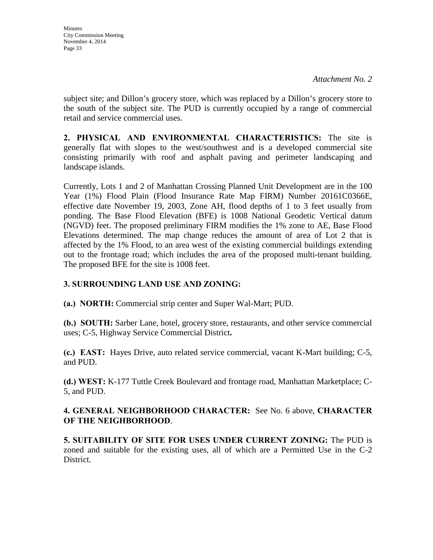subject site; and Dillon's grocery store, which was replaced by a Dillon's grocery store to the south of the subject site. The PUD is currently occupied by a range of commercial retail and service commercial uses.

**2. PHYSICAL AND ENVIRONMENTAL CHARACTERISTICS:** The site is generally flat with slopes to the west/southwest and is a developed commercial site consisting primarily with roof and asphalt paving and perimeter landscaping and landscape islands.

Currently, Lots 1 and 2 of Manhattan Crossing Planned Unit Development are in the 100 Year (1%) Flood Plain (Flood Insurance Rate Map FIRM) Number 20161C0366E, effective date November 19, 2003, Zone AH, flood depths of 1 to 3 feet usually from ponding. The Base Flood Elevation (BFE) is 1008 National Geodetic Vertical datum (NGVD) feet. The proposed preliminary FIRM modifies the 1% zone to AE, Base Flood Elevations determined. The map change reduces the amount of area of Lot 2 that is affected by the 1% Flood, to an area west of the existing commercial buildings extending out to the frontage road; which includes the area of the proposed multi-tenant building. The proposed BFE for the site is 1008 feet.

## **3. SURROUNDING LAND USE AND ZONING:**

**(a.) NORTH:** Commercial strip center and Super Wal-Mart; PUD.

**(b.) SOUTH:** Sarber Lane, hotel, grocery store, restaurants, and other service commercial uses; C-5, Highway Service Commercial District**.** 

**(c.) EAST:** Hayes Drive, auto related service commercial, vacant K-Mart building; C-5, and PUD.

**(d.) WEST:** K-177 Tuttle Creek Boulevard and frontage road, Manhattan Marketplace; C-5, and PUD.

### **4. GENERAL NEIGHBORHOOD CHARACTER:** See No. 6 above, **CHARACTER OF THE NEIGHBORHOOD**.

**5. SUITABILITY OF SITE FOR USES UNDER CURRENT ZONING:** The PUD is zoned and suitable for the existing uses, all of which are a Permitted Use in the C-2 District.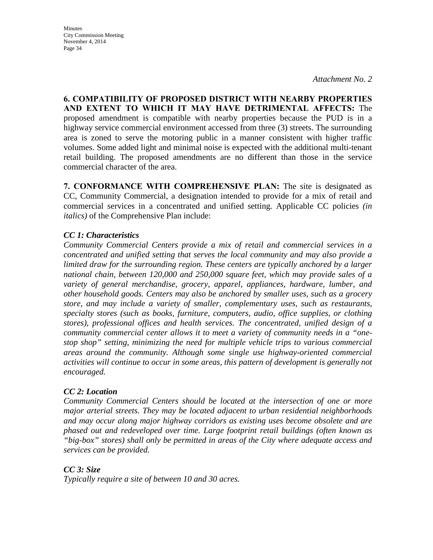**Minutes** City Commission Meeting November 4, 2014 Page 34

**6. COMPATIBILITY OF PROPOSED DISTRICT WITH NEARBY PROPERTIES AND EXTENT TO WHICH IT MAY HAVE DETRIMENTAL AFFECTS:** The proposed amendment is compatible with nearby properties because the PUD is in a highway service commercial environment accessed from three (3) streets. The surrounding area is zoned to serve the motoring public in a manner consistent with higher traffic volumes. Some added light and minimal noise is expected with the additional multi-tenant retail building. The proposed amendments are no different than those in the service commercial character of the area.

**7. CONFORMANCE WITH COMPREHENSIVE PLAN:** The site is designated as CC, Community Commercial, a designation intended to provide for a mix of retail and commercial services in a concentrated and unified setting. Applicable CC policies *(in italics)* of the Comprehensive Plan include:

#### *CC 1: Characteristics*

*Community Commercial Centers provide a mix of retail and commercial services in a concentrated and unified setting that serves the local community and may also provide a limited draw for the surrounding region. These centers are typically anchored by a larger national chain, between 120,000 and 250,000 square feet, which may provide sales of a variety of general merchandise, grocery, apparel, appliances, hardware, lumber, and other household goods. Centers may also be anchored by smaller uses, such as a grocery store, and may include a variety of smaller, complementary uses, such as restaurants, specialty stores (such as books, furniture, computers, audio, office supplies, or clothing stores), professional offices and health services. The concentrated, unified design of a community commercial center allows it to meet a variety of community needs in a "onestop shop" setting, minimizing the need for multiple vehicle trips to various commercial areas around the community. Although some single use highway-oriented commercial activities will continue to occur in some areas, this pattern of development is generally not encouraged.* 

#### *CC 2: Location*

*Community Commercial Centers should be located at the intersection of one or more major arterial streets. They may be located adjacent to urban residential neighborhoods and may occur along major highway corridors as existing uses become obsolete and are phased out and redeveloped over time. Large footprint retail buildings (often known as "big-box" stores) shall only be permitted in areas of the City where adequate access and services can be provided.* 

*CC 3: Size Typically require a site of between 10 and 30 acres.*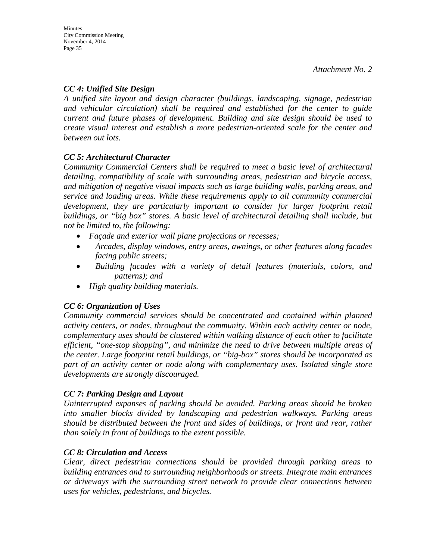## *CC 4: Unified Site Design*

*A unified site layout and design character (buildings, landscaping, signage, pedestrian and vehicular circulation) shall be required and established for the center to guide current and future phases of development. Building and site design should be used to create visual interest and establish a more pedestrian-oriented scale for the center and between out lots.* 

## *CC 5: Architectural Character*

*Community Commercial Centers shall be required to meet a basic level of architectural detailing, compatibility of scale with surrounding areas, pedestrian and bicycle access, and mitigation of negative visual impacts such as large building walls, parking areas, and service and loading areas. While these requirements apply to all community commercial*  development, they are particularly important to consider for larger footprint retail *buildings, or "big box" stores. A basic level of architectural detailing shall include, but not be limited to, the following:* 

- *Façade and exterior wall plane projections or recesses;*
- *Arcades, display windows, entry areas, awnings, or other features along facades facing public streets;*
- *Building facades with a variety of detail features (materials, colors, and patterns); and*
- *High quality building materials.*

## *CC 6: Organization of Uses*

*Community commercial services should be concentrated and contained within planned activity centers, or nodes, throughout the community. Within each activity center or node, complementary uses should be clustered within walking distance of each other to facilitate efficient, "one-stop shopping", and minimize the need to drive between multiple areas of the center. Large footprint retail buildings, or "big-box" stores should be incorporated as part of an activity center or node along with complementary uses. Isolated single store developments are strongly discouraged.* 

### *CC 7: Parking Design and Layout*

*Uninterrupted expanses of parking should be avoided. Parking areas should be broken into smaller blocks divided by landscaping and pedestrian walkways. Parking areas should be distributed between the front and sides of buildings, or front and rear, rather than solely in front of buildings to the extent possible.* 

### *CC 8: Circulation and Access*

*Clear, direct pedestrian connections should be provided through parking areas to building entrances and to surrounding neighborhoods or streets. Integrate main entrances or driveways with the surrounding street network to provide clear connections between uses for vehicles, pedestrians, and bicycles.*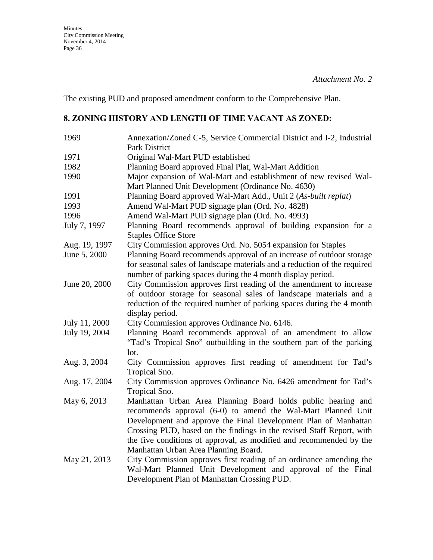The existing PUD and proposed amendment conform to the Comprehensive Plan.

## **8. ZONING HISTORY AND LENGTH OF TIME VACANT AS ZONED:**

| 1969          | Annexation/Zoned C-5, Service Commercial District and I-2, Industrial<br>Park District                                                                                                                                                                                                                                                                                                  |
|---------------|-----------------------------------------------------------------------------------------------------------------------------------------------------------------------------------------------------------------------------------------------------------------------------------------------------------------------------------------------------------------------------------------|
| 1971          | Original Wal-Mart PUD established                                                                                                                                                                                                                                                                                                                                                       |
| 1982          | Planning Board approved Final Plat, Wal-Mart Addition                                                                                                                                                                                                                                                                                                                                   |
| 1990          | Major expansion of Wal-Mart and establishment of new revised Wal-<br>Mart Planned Unit Development (Ordinance No. 4630)                                                                                                                                                                                                                                                                 |
| 1991          | Planning Board approved Wal-Mart Add., Unit 2 (As-built replat)                                                                                                                                                                                                                                                                                                                         |
| 1993          | Amend Wal-Mart PUD signage plan (Ord. No. 4828)                                                                                                                                                                                                                                                                                                                                         |
| 1996          | Amend Wal-Mart PUD signage plan (Ord. No. 4993)                                                                                                                                                                                                                                                                                                                                         |
| July 7, 1997  | Planning Board recommends approval of building expansion for a<br><b>Staples Office Store</b>                                                                                                                                                                                                                                                                                           |
| Aug. 19, 1997 | City Commission approves Ord. No. 5054 expansion for Staples                                                                                                                                                                                                                                                                                                                            |
| June 5, 2000  | Planning Board recommends approval of an increase of outdoor storage<br>for seasonal sales of landscape materials and a reduction of the required<br>number of parking spaces during the 4 month display period.                                                                                                                                                                        |
| June 20, 2000 | City Commission approves first reading of the amendment to increase<br>of outdoor storage for seasonal sales of landscape materials and a<br>reduction of the required number of parking spaces during the 4 month<br>display period.                                                                                                                                                   |
| July 11, 2000 | City Commission approves Ordinance No. 6146.                                                                                                                                                                                                                                                                                                                                            |
| July 19, 2004 | Planning Board recommends approval of an amendment to allow<br>"Tad's Tropical Sno" outbuilding in the southern part of the parking<br>lot.                                                                                                                                                                                                                                             |
| Aug. 3, 2004  | City Commission approves first reading of amendment for Tad's<br>Tropical Sno.                                                                                                                                                                                                                                                                                                          |
| Aug. 17, 2004 | City Commission approves Ordinance No. 6426 amendment for Tad's<br>Tropical Sno.                                                                                                                                                                                                                                                                                                        |
| May 6, 2013   | Manhattan Urban Area Planning Board holds public hearing and<br>recommends approval (6-0) to amend the Wal-Mart Planned Unit<br>Development and approve the Final Development Plan of Manhattan<br>Crossing PUD, based on the findings in the revised Staff Report, with<br>the five conditions of approval, as modified and recommended by the<br>Manhattan Urban Area Planning Board. |
| May 21, 2013  | City Commission approves first reading of an ordinance amending the<br>Wal-Mart Planned Unit Development and approval of the Final<br>Development Plan of Manhattan Crossing PUD.                                                                                                                                                                                                       |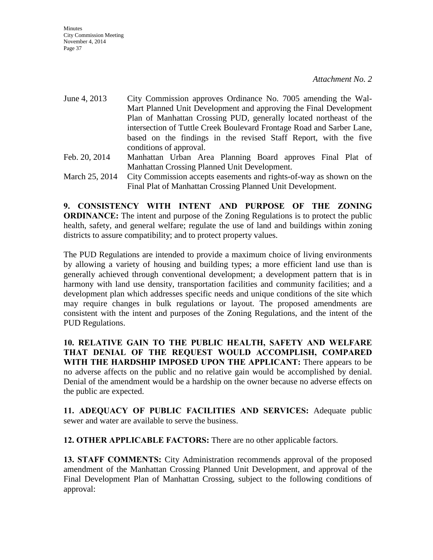- June 4, 2013 City Commission approves Ordinance No. 7005 amending the Wal-Mart Planned Unit Development and approving the Final Development Plan of Manhattan Crossing PUD, generally located northeast of the intersection of Tuttle Creek Boulevard Frontage Road and Sarber Lane, based on the findings in the revised Staff Report, with the five conditions of approval. Feb. 20, 2014 Manhattan Urban Area Planning Board approves Final Plat of Manhattan Crossing Planned Unit Development.
- March 25, 2014 City Commission accepts easements and rights-of-way as shown on the Final Plat of Manhattan Crossing Planned Unit Development.

**9. CONSISTENCY WITH INTENT AND PURPOSE OF THE ZONING ORDINANCE:** The intent and purpose of the Zoning Regulations is to protect the public health, safety, and general welfare; regulate the use of land and buildings within zoning districts to assure compatibility; and to protect property values.

The PUD Regulations are intended to provide a maximum choice of living environments by allowing a variety of housing and building types; a more efficient land use than is generally achieved through conventional development; a development pattern that is in harmony with land use density, transportation facilities and community facilities; and a development plan which addresses specific needs and unique conditions of the site which may require changes in bulk regulations or layout. The proposed amendments are consistent with the intent and purposes of the Zoning Regulations, and the intent of the PUD Regulations.

**10. RELATIVE GAIN TO THE PUBLIC HEALTH, SAFETY AND WELFARE THAT DENIAL OF THE REQUEST WOULD ACCOMPLISH, COMPARED WITH THE HARDSHIP IMPOSED UPON THE APPLICANT:** There appears to be no adverse affects on the public and no relative gain would be accomplished by denial. Denial of the amendment would be a hardship on the owner because no adverse effects on the public are expected.

**11. ADEQUACY OF PUBLIC FACILITIES AND SERVICES:** Adequate public sewer and water are available to serve the business.

**12. OTHER APPLICABLE FACTORS:** There are no other applicable factors.

**13. STAFF COMMENTS:** City Administration recommends approval of the proposed amendment of the Manhattan Crossing Planned Unit Development, and approval of the Final Development Plan of Manhattan Crossing, subject to the following conditions of approval: